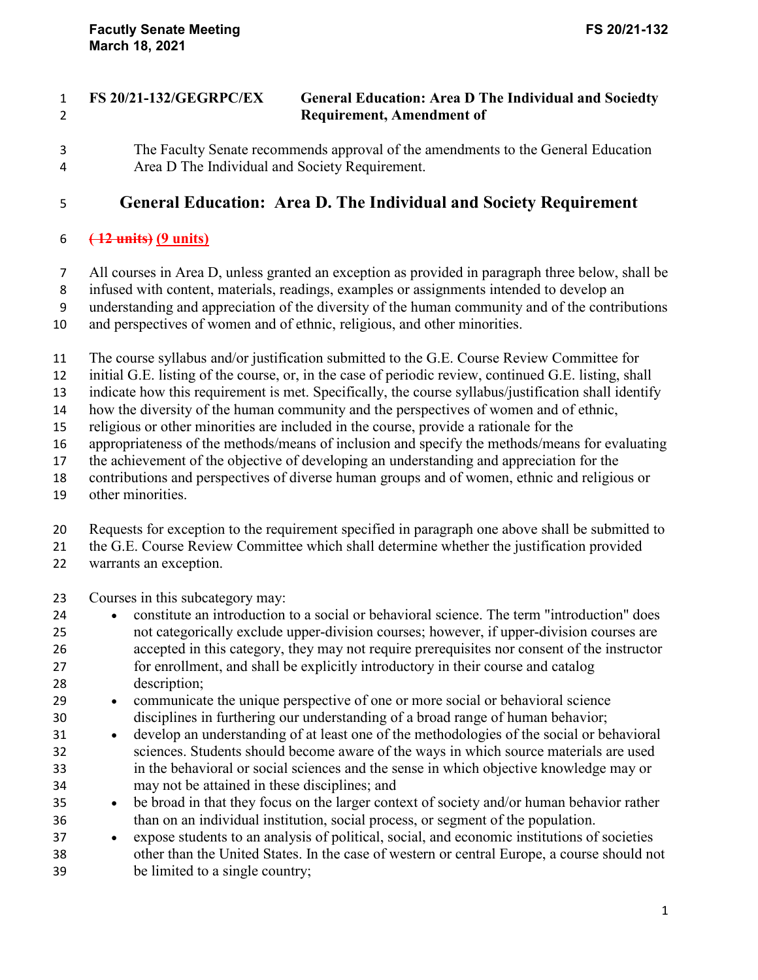## **FS 20/21-132/GEGRPC/EX General Education: Area D The Individual and Sociedty Requirement, Amendment of**

The Faculty Senate recommends approval of the amendments to the General Education Area D The Individual and Society Requirement.

## **General Education: Area D. The Individual and Society Requirement**

## **( 12 units) (9 units)**

All courses in Area D, unless granted an exception as provided in paragraph three below, shall be

infused with content, materials, readings, examples or assignments intended to develop an

understanding and appreciation of the diversity of the human community and of the contributions

and perspectives of women and of ethnic, religious, and other minorities.

The course syllabus and/or justification submitted to the G.E. Course Review Committee for

initial G.E. listing of the course, or, in the case of periodic review, continued G.E. listing, shall

indicate how this requirement is met. Specifically, the course syllabus/justification shall identify

how the diversity of the human community and the perspectives of women and of ethnic,

religious or other minorities are included in the course, provide a rationale for the

appropriateness of the methods/means of inclusion and specify the methods/means for evaluating

the achievement of the objective of developing an understanding and appreciation for the

contributions and perspectives of diverse human groups and of women, ethnic and religious or

other minorities.

Requests for exception to the requirement specified in paragraph one above shall be submitted to

the G.E. Course Review Committee which shall determine whether the justification provided

- warrants an exception.
- Courses in this subcategory may:
- constitute an introduction to a social or behavioral science. The term "introduction" does not categorically exclude upper-division courses; however, if upper-division courses are accepted in this category, they may not require prerequisites nor consent of the instructor for enrollment, and shall be explicitly introductory in their course and catalog description;
- communicate the unique perspective of one or more social or behavioral science disciplines in furthering our understanding of a broad range of human behavior;
- develop an understanding of at least one of the methodologies of the social or behavioral sciences. Students should become aware of the ways in which source materials are used in the behavioral or social sciences and the sense in which objective knowledge may or may not be attained in these disciplines; and
- <sup>35</sup> be broad in that they focus on the larger context of society and/or human behavior rather than on an individual institution, social process, or segment of the population.
- expose students to an analysis of political, social, and economic institutions of societies other than the United States. In the case of western or central Europe, a course should not be limited to a single country;